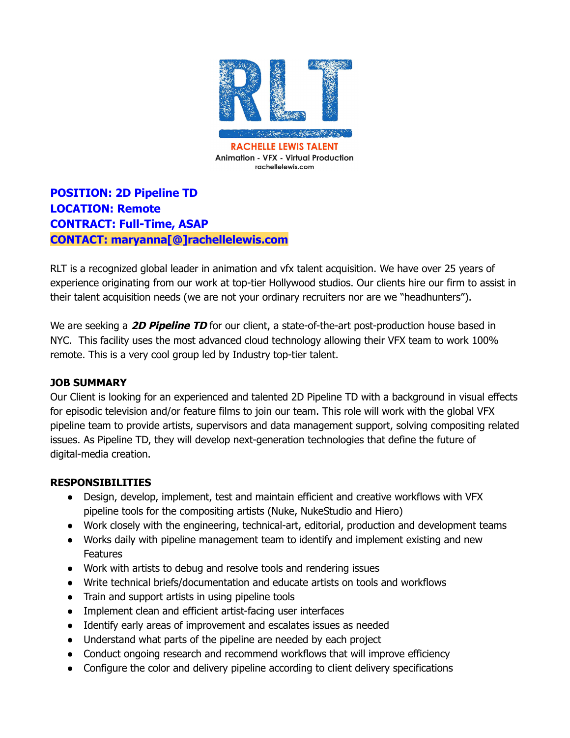

**POSITION: 2D Pipeline TD LOCATION: Remote CONTRACT: Full-Time, ASAP CONTACT: maryanna[@]rachellelewis.com**

RLT is a recognized global leader in animation and vfx talent acquisition. We have over 25 years of experience originating from our work at top-tier Hollywood studios. Our clients hire our firm to assist in their talent acquisition needs (we are not your ordinary recruiters nor are we "headhunters").

We are seeking a **2D Pipeline TD** for our client, a state-of-the-art post-production house based in NYC. This facility uses the most advanced cloud technology allowing their VFX team to work 100% remote. This is a very cool group led by Industry top-tier talent.

#### **JOB SUMMARY**

Our Client is looking for an experienced and talented 2D Pipeline TD with a background in visual effects for episodic television and/or feature films to join our team. This role will work with the global VFX pipeline team to provide artists, supervisors and data management support, solving compositing related issues. As Pipeline TD, they will develop next-generation technologies that define the future of digital-media creation.

### **RESPONSIBILITIES**

- Design, develop, implement, test and maintain efficient and creative workflows with VFX pipeline tools for the compositing artists (Nuke, NukeStudio and Hiero)
- Work closely with the engineering, technical-art, editorial, production and development teams
- Works daily with pipeline management team to identify and implement existing and new **Features**
- Work with artists to debug and resolve tools and rendering issues
- Write technical briefs/documentation and educate artists on tools and workflows
- Train and support artists in using pipeline tools
- Implement clean and efficient artist-facing user interfaces
- Identify early areas of improvement and escalates issues as needed
- Understand what parts of the pipeline are needed by each project
- Conduct ongoing research and recommend workflows that will improve efficiency
- Configure the color and delivery pipeline according to client delivery specifications